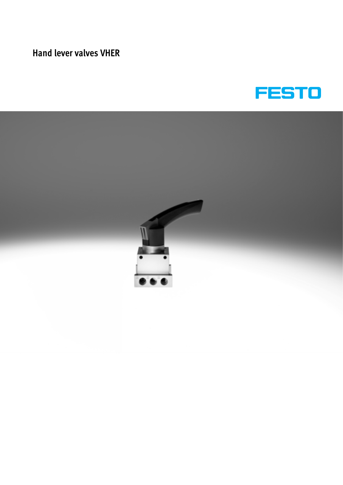# **Hand lever valves VHER**



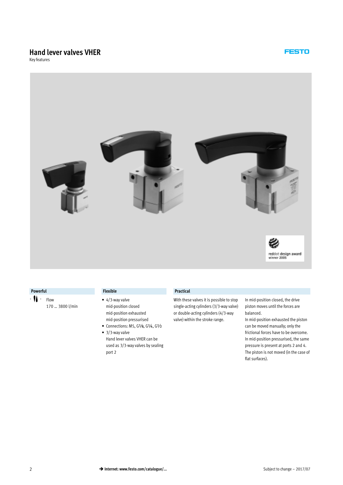# **Hand lever valves VHER**

Key features



#### **Powerful Flexible Practical**

- $\mathbf{M}$  Flow
	- 170 … 3800 l/min

- 4/3-way valve mid-position closed mid-position exhausted mid-position pressurised
- $\bullet$  Connections: M5, G1/8, G1/4, G1/2
- 3/3-way valve Hand lever valves VHER can be used as 3/3-way valves by sealing port 2

With these valves it is possible to stop single-acting cylinders (3/3-way valve) or double-acting cylinders (4/3-way valve) within the stroke range.

In mid-position closed, the drive piston moves until the forces are balanced.

**FESTO** 

In mid-position exhausted the piston can be moved manually; only the frictional forces have to be overcome. In mid-position pressurised, the same pressure is present at ports 2 and 4. The piston is not moved (in the case of flat surfaces).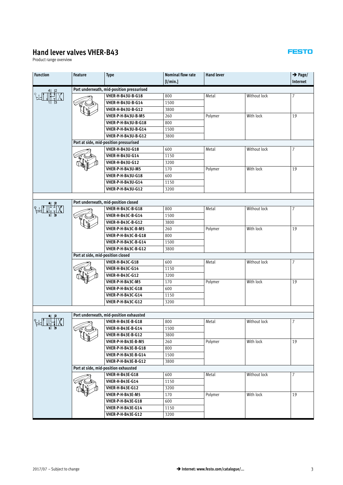# **Hand lever valves VHER-B43**

Product range overview

| <b>Function</b> | <b>Feature</b>                    | <b>Type</b>                                                    | <b>Nominal flow rate</b> | <b>Hand lever</b> |              | $\rightarrow$ Page/ |
|-----------------|-----------------------------------|----------------------------------------------------------------|--------------------------|-------------------|--------------|---------------------|
|                 |                                   |                                                                | [1/min.]                 |                   |              | Internet            |
|                 |                                   | Port underneath, mid-position pressurised<br>VHER-H-B43U-B-G18 | 800                      | Metal             | Without lock | $\overline{7}$      |
|                 |                                   | <b>VHER-H-B43U-B-G14</b>                                       | 1500                     |                   |              |                     |
|                 |                                   | <b>VHER-H-B43U-B-G12</b>                                       | 3800                     |                   |              |                     |
|                 |                                   | VHER-P-H-B43U-B-M5                                             | 260                      | Polymer           | With lock    | 19                  |
|                 |                                   | VHER-P-H-B43U-B-G18                                            | 800                      |                   |              |                     |
|                 |                                   | VHER-P-H-B43U-B-G14                                            | 1500                     |                   |              |                     |
|                 |                                   | VHER-P-H-B43U-B-G12                                            | 3800                     |                   |              |                     |
|                 |                                   | Port at side, mid-position pressurised                         |                          |                   |              |                     |
|                 |                                   | <b>VHER-H-B43U-G18</b>                                         | 600                      | Metal             | Without lock | $\overline{7}$      |
|                 |                                   | <b>VHER-H-B43U-G14</b>                                         | 1150                     |                   |              |                     |
|                 |                                   | <b>VHER-H-B43U-G12</b>                                         | 3200                     |                   |              |                     |
|                 |                                   | VHER-P-H-B43U-M5                                               | 170                      | Polymer           | With lock    | 19                  |
|                 |                                   | <b>VHER-P-H-B43U-G18</b>                                       | 600                      |                   |              |                     |
|                 |                                   | VHER-P-H-B43U-G14                                              | 1150                     |                   |              |                     |
|                 |                                   | <b>VHER-P-H-B43U-G12</b>                                       | 3200                     |                   |              |                     |
|                 |                                   |                                                                |                          |                   |              |                     |
|                 |                                   | Port underneath, mid-position closed                           |                          |                   |              |                     |
|                 |                                   | VHER-H-B43C-B-G18                                              | 800                      | Metal             | Without lock | $\overline{7}$      |
|                 |                                   | VHER-H-B43C-B-G14                                              | 1500                     |                   |              |                     |
|                 |                                   | <b>VHER-H-B43C-B-G12</b>                                       | 3800                     |                   |              |                     |
|                 |                                   | VHER-P-H-B43C-B-M5                                             | 260                      | Polymer           | With lock    | 19                  |
|                 |                                   | VHER-P-H-B43C-B-G18                                            | 800                      |                   |              |                     |
|                 |                                   | VHER-P-H-B43C-B-G14                                            | 1500                     |                   |              |                     |
|                 |                                   | VHER-P-H-B43C-B-G12                                            | 3800                     |                   |              |                     |
|                 | Port at side, mid-position closed |                                                                |                          |                   |              |                     |
|                 |                                   | <b>VHER-H-B43C-G18</b>                                         | 600                      | Metal             | Without lock | $\overline{7}$      |
|                 |                                   | <b>VHER-H-B43C-G14</b>                                         | 1150                     |                   |              |                     |
|                 |                                   | <b>VHER-H-B43C-G12</b>                                         | 3200                     |                   |              |                     |
|                 |                                   | VHER-P-H-B43C-M5                                               | 170                      | Polymer           | With lock    | 19                  |
|                 |                                   | <b>VHER-P-H-B43C-G18</b>                                       | 600                      |                   |              |                     |
|                 |                                   | <b>VHER-P-H-B43C-G14</b>                                       | 1150                     |                   |              |                     |
|                 |                                   | <b>VHER-P-H-B43C-G12</b>                                       | 3200                     |                   |              |                     |
|                 |                                   |                                                                |                          |                   |              |                     |
|                 |                                   | Port underneath, mid-position exhausted                        |                          |                   |              |                     |
|                 |                                   | <b>VHER-H-B43E-B-G18</b>                                       | 800                      | Metal             | Without lock | $\overline{7}$      |
|                 |                                   | <b>VHER-H-B43E-B-G14</b>                                       | 1500                     |                   |              |                     |
|                 |                                   | <b>VHER-H-B43E-B-G12</b>                                       | 3800                     |                   |              |                     |
|                 |                                   | VHER-P-H-B43E-B-M5                                             | 260                      | Polymer           | With lock    | 19                  |
|                 |                                   | VHER-P-H-B43E-B-G18                                            | 800                      |                   |              |                     |
|                 |                                   | VHER-P-H-B43E-B-G14                                            | 1500                     |                   |              |                     |
|                 |                                   | <b>VHER-P-H-B43E-B-G12</b>                                     | 3800                     |                   |              |                     |
|                 |                                   | Port at side, mid-position exhausted                           |                          |                   |              |                     |
|                 |                                   | <b>VHER-H-B43E-G18</b>                                         | 600                      | Metal             | Without lock | $\overline{7}$      |
|                 |                                   | <b>VHER-H-B43E-G14</b>                                         | 1150                     |                   |              |                     |
|                 |                                   | <b>VHER-H-B43E-G12</b>                                         | 3200                     |                   |              |                     |
|                 |                                   | VHER-P-H-B43E-M5                                               | 170                      | Polymer           | With lock    | 19                  |
|                 |                                   | <b>VHER-P-H-B43E-G18</b>                                       | 600                      |                   |              |                     |
|                 |                                   | <b>VHER-P-H-B43E-G14</b>                                       | 1150                     |                   |              |                     |
|                 |                                   | <b>VHER-P-H-B43E-G12</b>                                       | 3200                     |                   |              |                     |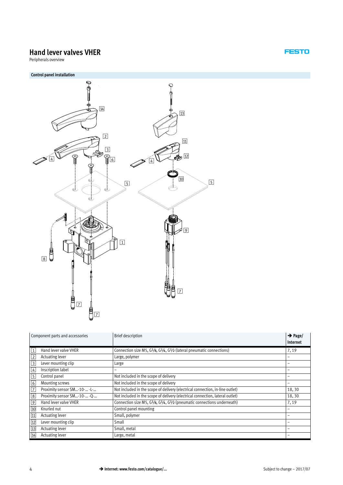# **Hand lever valves VHER**

Peripherals overview



| Component parts and accessories            | <b>Brief description</b>                                                                                    | $\rightarrow$ Page/<br>Internet |
|--------------------------------------------|-------------------------------------------------------------------------------------------------------------|---------------------------------|
| Hand lever valve VHER<br> 1                | Connection size M5, G <sup>1</sup> /8, G <sup>1</sup> /4, G <sup>1</sup> /2 (lateral pneumatic connections) | 7,19                            |
| $\sqrt{2}$<br>Actuating lever              | Large, polymer                                                                                              |                                 |
| $\boxed{3}$<br>Lever mounting clip         | Large                                                                                                       |                                 |
| Inscription label<br>$\boxed{4}$           |                                                                                                             | -                               |
| $\sqrt{5}$<br>Control panel                | Not included in the scope of delivery                                                                       |                                 |
| $\boxed{6}$<br>Mounting screws             | Not included in the scope of delivery                                                                       |                                 |
| $\sqrt{7}$<br>Proximity sensor SM-10- -L-  | Not included in the scope of delivery (electrical connection, in-line outlet)                               | 18,30                           |
| $\boxed{8}$<br>Proximity sensor SM-10- -Q- | Not included in the scope of delivery (electrical connection, lateral outlet)                               | 18,30                           |
| 9<br>Hand lever valve VHER                 | Connection size M5, G1/8, G1/4, G1/2 (pneumatic connections underneath)                                     | 7,19                            |
| 10<br>Knurled nut                          | Control panel mounting                                                                                      |                                 |
| 11<br>Actuating lever                      | Small, polymer                                                                                              |                                 |
| $\overline{12}$<br>Lever mounting clip     | Small                                                                                                       |                                 |
| 13<br>Actuating lever                      | Small, metal                                                                                                |                                 |
| 14<br>Actuating lever                      | Large, metal                                                                                                |                                 |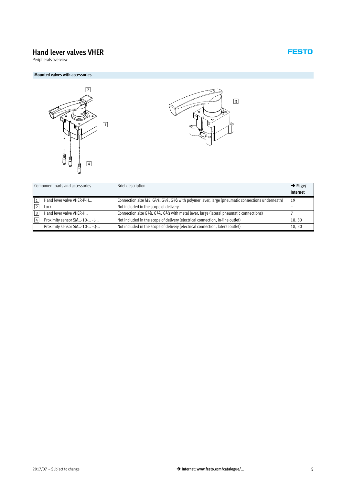# **Hand lever valves VHER**

Peripherals overview

#### **Mounted valves with accessories**





|                | Component parts and accessories | Brief description                                                                                 | $\rightarrow$ Page/ |
|----------------|---------------------------------|---------------------------------------------------------------------------------------------------|---------------------|
|                |                                 |                                                                                                   | Internet            |
|                | Hand lever valve VHER-P-H       | Connection size M5, G1/8, G1/4, G1/2 with polymer lever, large (pneumatic connections underneath) | 19                  |
|                | Lock                            | Not included in the scope of delivery                                                             |                     |
| 3              | Hand lever valve VHER-H         | Connection size G1/8, G1/4, G1/2 with metal lever, large (lateral pneumatic connections)          |                     |
| $\overline{4}$ | Proximity sensor SM-10- -L-     | Not included in the scope of delivery (electrical connection, in-line outlet)                     | 18,30               |
|                | Proximity sensor SM-10- -Q-     | Not included in the scope of delivery (electrical connection, lateral outlet)                     | 18,30               |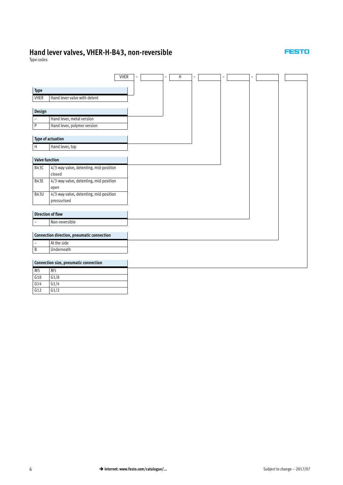# **Hand lever valves, VHER-H-B43, non-reversible**

#### **FESTO**

Type codes

G14 G1/4 G12 G1/2

|                       |                                            | <b>VHER</b> | - |  | - | Η | - | - | - |  |  |
|-----------------------|--------------------------------------------|-------------|---|--|---|---|---|---|---|--|--|
|                       |                                            |             |   |  |   |   |   |   |   |  |  |
| Type                  |                                            |             |   |  |   |   |   |   |   |  |  |
| <b>VHER</b>           | Hand lever valve with detent               |             |   |  |   |   |   |   |   |  |  |
|                       |                                            |             |   |  |   |   |   |   |   |  |  |
| Design                |                                            |             |   |  |   |   |   |   |   |  |  |
| $\qquad \qquad -$     | Hand lever, metal version                  |             |   |  |   |   |   |   |   |  |  |
| $\overline{P}$        | Hand lever, polymer version                |             |   |  |   |   |   |   |   |  |  |
|                       |                                            |             |   |  |   |   |   |   |   |  |  |
|                       | Type of actuation                          |             |   |  |   |   |   |   |   |  |  |
| H                     | Hand lever, top                            |             |   |  |   |   |   |   |   |  |  |
|                       |                                            |             |   |  |   |   |   |   |   |  |  |
| <b>Valve function</b> |                                            |             |   |  |   |   |   |   |   |  |  |
| B43C                  | 4/3-way valve, detenting, mid-position     |             |   |  |   |   |   |   |   |  |  |
|                       | closed                                     |             |   |  |   |   |   |   |   |  |  |
| B43E                  | 4/3-way valve, detenting, mid-position     |             |   |  |   |   |   |   |   |  |  |
|                       | open                                       |             |   |  |   |   |   |   |   |  |  |
| <b>B43U</b>           | 4/3-way valve, detenting, mid-position     |             |   |  |   |   |   |   |   |  |  |
|                       | pressurised                                |             |   |  |   |   |   |   |   |  |  |
|                       |                                            |             |   |  |   |   |   |   |   |  |  |
|                       | <b>Direction of flow</b>                   |             |   |  |   |   |   |   |   |  |  |
|                       | Non-reversible                             |             |   |  |   |   |   |   |   |  |  |
|                       | Connection direction, pneumatic connection |             |   |  |   |   |   |   |   |  |  |
|                       |                                            |             |   |  |   |   |   |   |   |  |  |
| $\overline{a}$        | At the side                                |             |   |  |   |   |   |   |   |  |  |
| $\sf B$               | Underneath                                 |             |   |  |   |   |   |   |   |  |  |
|                       | Connection size, pneumatic connection      |             |   |  |   |   |   |   |   |  |  |
| M <sub>5</sub>        | M <sub>5</sub>                             |             |   |  |   |   |   |   |   |  |  |
| G18                   |                                            |             |   |  |   |   |   |   |   |  |  |
|                       | G1/8                                       |             |   |  |   |   |   |   |   |  |  |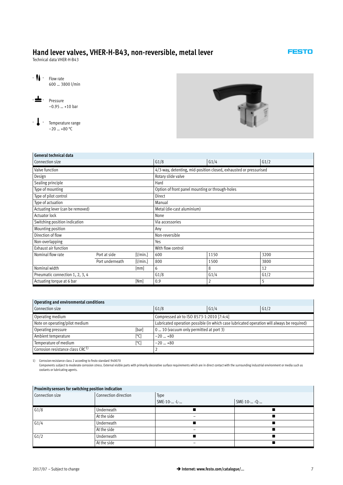<span id="page-6-0"></span>Technical data VHER-H-B43

600 … 3800 l/min

–0.95 … +10 bar

- **L** - Temperature range  $-20$  ... +80 °C

-  $\bigcup$  - Flow rate

-L- Pressure



#### **General technical data**

| Connection size                  |                 |          | G1/8                                                              | G1/4 | G1/2 |  |  |  |  |
|----------------------------------|-----------------|----------|-------------------------------------------------------------------|------|------|--|--|--|--|
| Valve function                   |                 |          | 4/3-way, detenting, mid-position closed, exhausted or pressurised |      |      |  |  |  |  |
| Design                           |                 |          | Rotary slide valve                                                |      |      |  |  |  |  |
| Sealing principle                |                 |          | Hard                                                              |      |      |  |  |  |  |
| Type of mounting                 |                 |          | Option of front panel mounting or through-holes                   |      |      |  |  |  |  |
| Type of pilot control            |                 |          | <b>Direct</b>                                                     |      |      |  |  |  |  |
| Type of actuation                |                 |          | Manual                                                            |      |      |  |  |  |  |
| Actuating lever (can be removed) |                 |          | Metal (die-cast aluminium)                                        |      |      |  |  |  |  |
| <b>Actuator lock</b>             |                 |          | None                                                              |      |      |  |  |  |  |
| Switching position indication    |                 |          | Via accessories                                                   |      |      |  |  |  |  |
| Mounting position                |                 |          | Any                                                               |      |      |  |  |  |  |
| Direction of flow                |                 |          | Non-reversible                                                    |      |      |  |  |  |  |
| Non-overlapping                  |                 |          | Yes                                                               |      |      |  |  |  |  |
| Exhaust air function             |                 |          | With flow control                                                 |      |      |  |  |  |  |
| Nominal flow rate                | Port at side    | [1/min.] | 600                                                               | 1150 | 3200 |  |  |  |  |
|                                  | Port underneath | [1/min.] | 800                                                               | 1500 | 3800 |  |  |  |  |
| Nominal width                    |                 | [mm]     | 6                                                                 | 8    | 12   |  |  |  |  |
| Pneumatic connection 1, 2, 3, 4  |                 |          | G1/8                                                              | G1/4 | G1/2 |  |  |  |  |
| Actuating torque at 6 bar        |                 | [Nm]     | 0.9                                                               | 2    | 5    |  |  |  |  |

#### **Operating and environmental conditions**

| Connection size                              | G1/8      | G1/4                                      | G1/2                                                                                       |
|----------------------------------------------|-----------|-------------------------------------------|--------------------------------------------------------------------------------------------|
| Operating medium                             |           | Compressed air to ISO 8573-1:2010 [7:4:4] |                                                                                            |
| Note on operating/pilot medium               |           |                                           | Lubricated operation possible (in which case lubricated operation will always be required) |
| [bar]<br>Operating pressure                  |           | 0  10 (vacuum only permitted at port 3)   |                                                                                            |
| Ambient temperature<br>[°C]                  | $-20$ +80 |                                           |                                                                                            |
| Temperature of medium<br>[°C]                | $-20$ +80 |                                           |                                                                                            |
| Corrosion resistance class CRC <sup>1)</sup> |           |                                           |                                                                                            |

1) Corrosion resistance class 2 according to Festo standard 940070

Components subject to moderate corrosion stress. External visible parts with primarily decorative surface requirements which are in direct contact with the surrounding industrial environment or media such as<br>coolants or lu

|                 | Proximity sensors for switching position indication |             |             |  |  |  |  |  |  |  |  |  |
|-----------------|-----------------------------------------------------|-------------|-------------|--|--|--|--|--|--|--|--|--|
| Connection size | Connection direction                                | Type        |             |  |  |  |  |  |  |  |  |  |
|                 |                                                     | SME-10- -L- | SME-10- -Q- |  |  |  |  |  |  |  |  |  |
| G1/8            | Underneath                                          |             |             |  |  |  |  |  |  |  |  |  |
|                 | At the side                                         |             |             |  |  |  |  |  |  |  |  |  |
| G1/4            | Underneath                                          |             |             |  |  |  |  |  |  |  |  |  |
|                 | At the side                                         |             |             |  |  |  |  |  |  |  |  |  |
| G1/2            | Underneath                                          |             |             |  |  |  |  |  |  |  |  |  |
|                 | At the side                                         |             |             |  |  |  |  |  |  |  |  |  |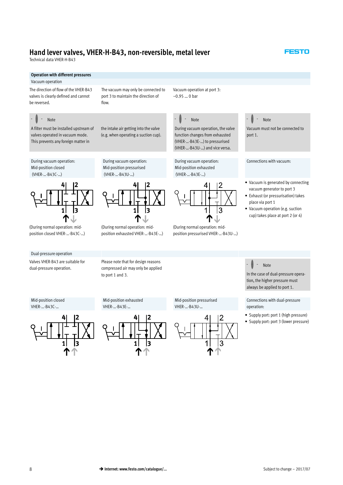flow.

Technical data VHER-H-B43

#### **Operation with different pressures**

#### Vacuum operation

The direction of flow of the VHER-B43 valves is clearly defined and cannot be reversed.

#### Note

A filter must be installed upstream of valves operated in vacuum mode. This prevents any foreign matter in

During vacuum operation: Mid-position closed (VHER-…-B43C-…)

the intake air getting into the valve (e.g. when operating a suction cup).

During vacuum operation: Mid-position pressurised (VHER-…-B43U-…)

The vacuum may only be connected to port 3 to maintain the direction of

Vacuum operation at port 3: –0.95 … 0 bar

# Note

During vacuum operation, the valve function changes from exhausted (VHER-…-B43E-…) to pressurised (VHER-…-B43U-…) and vice versa.

During vacuum operation: Mid-position exhausted (VHER-…-B43E-…)



(During normal operation: midposition pressurised VHER-…-B43U-…)

#### Note

Vacuum must not be connected to port 1.

**FESTO** 

#### Connections with vacuum:

- Vacuum is generated by connecting vacuum generator to port 3
- Exhaust (or pressurisation) takes place via port 1
- Vacuum operation (e.g. suction cup) takes place at port 2 (or 4)

(During normal operation: midposition closed VHER-…-B43C-…)

 $\mathbf{1}$ 

13

#### Dual-pressure operation

Valves VHER-B43 are suitable for dual-pressure operation.

Please note that for design reasons compressed air may only be applied to port 1 and 3.

Mid-position exhausted

(During normal operation: midposition exhausted VHER-…-B43E-…)

1 1 |3





Note In the case of dual-pressure opera-

Connections with dual-pressure operation:

- Supply port: port 1 (high pressure)

tion, the higher pressure must always be applied to port 1.

- Supply port: port 3 (lower pressure)

#### Mid-position closed VHER-…-B43C-…



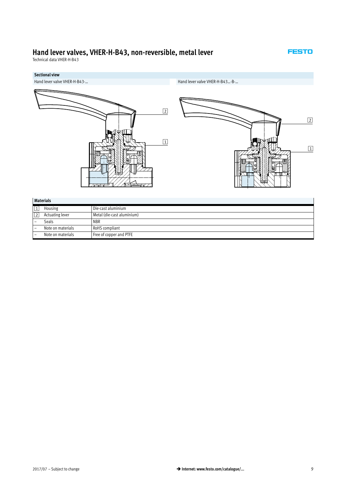Technical data VHER-H-B43



|           | Malenais          |                            |
|-----------|-------------------|----------------------------|
| $\vert$ 1 | Housing           | Die-cast aluminium         |
| 2         | Actuating lever   | Metal (die-cast aluminium) |
|           | Seals             | <b>NBR</b>                 |
|           | Note on materials | RoHS compliant             |
|           | Note on materials | Free of copper and PTFE    |
|           |                   |                            |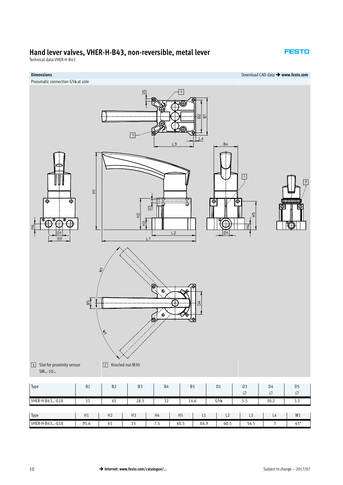Technical data VHER-H-B43

#### **FESTO**

**Dimensions** Download CAD data - **www.festo.com**

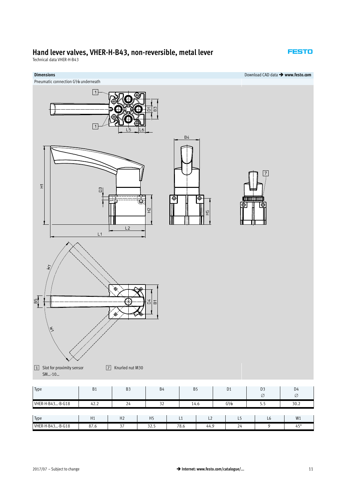Technical data VHER-H-B43



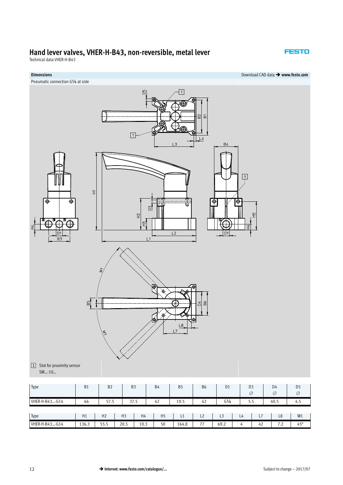Technical data VHER-H-B43

#### **FESTO**

**Dimensions** Download CAD data - **www.festo.com**



Type H1 H2 H3 H4 H5 L1 L2 L3 L4 L7 L8 W1 VHER-H-B43...-G14 | 136.3 | 55.5 | 20.5 | 10.3 | 50 | 164.8 | 77 | 69.2 | 4 | 42 | 7.2 | 45°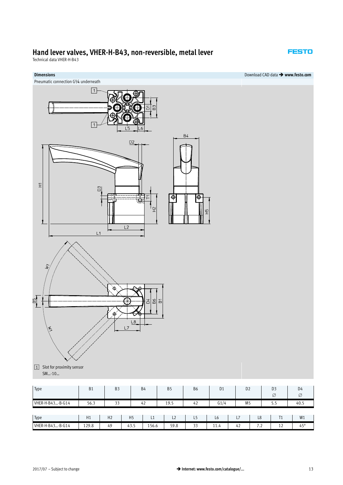Technical data VHER-H-B43





Type H1 H2 H5 L1 L2 L5 L6 L7 L8 T1 W1 VHER-H-B43…-B-G14 | 129.8 | 49 | 43.5 | 156.6 | 59.8 | 33 | 11.4 | 42 | 7.2 | 12 | 45°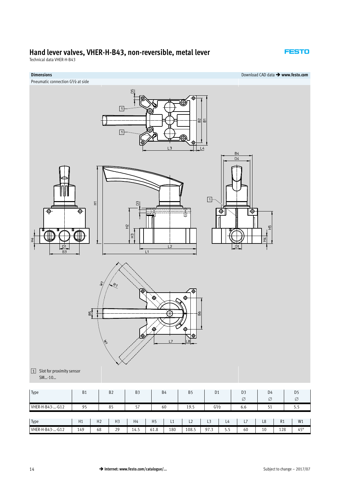Technical data VHER-H-B43

#### **FESTO**

# **Dimensions** Download CAD data - **www.festo.com** Pneumatic connection G½ at side  $\boxed{1}$  $\approx$  $\overleftarrow{\mathbf{m}}$  $\boxed{1}$  $\frac{1}{4}$  $B<sub>2</sub>$  $\boxed{1}$  $\widetilde{\texttt{r}}$ ♠ Φ ♦  $\tilde{H}$  $\frac{\alpha}{1}$  $\overline{1}$  $R_7$  $\mathbb{E}$ 1 Slot for proximity sensor SM…-10… Type B1 B2 B3 B4 B5 D1 D3 D4 D5

| <b>Type</b>     | D T |                | DZ.            | <b>D</b> |                | D4  | כס    | υı             |     | נט  | U4             |                | כע         |
|-----------------|-----|----------------|----------------|----------|----------------|-----|-------|----------------|-----|-----|----------------|----------------|------------|
|                 |     |                |                |          |                |     |       |                |     | Ø   | Ø              |                | Ø          |
| VHER-H-B43--G12 | 95  |                | 85             | 57       |                | 60  | 19.5  | $G\frac{1}{2}$ |     | 6.6 | ╯              |                | ر .ر       |
|                 |     |                |                |          |                |     |       |                |     |     |                |                |            |
| Type            | H1  | H <sub>2</sub> | H <sub>3</sub> | H4       | H <sub>5</sub> | L1  | L2    | L3             | L4  | L7  | L <sub>8</sub> | R <sub>1</sub> | W1         |
| VHER-H-B43--G12 | 149 | 68             | 29             | 14.5     | 61.8           | 180 | 108.5 | 97.3           | 5.5 | 60  | 10             | 128            | $45^\circ$ |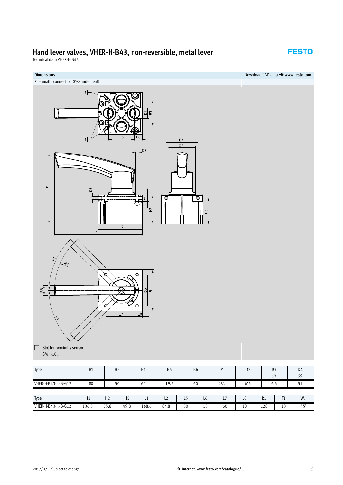Technical data VHER-H-B43

**FESTO** 

# **Dimensions** Download CAD data - **www.festo.com** Pneumatic connection G½ underneath  $\boxed{1}$  $\boxed{1}$  $B<sub>4</sub>$ D4  $D2$  $\Xi$ ⊕ ⊕ £  $R_7$  $\mathbb{Z}$ 1 Slot for proximity sensor SM…-10… D4 Type B1 B3 B4 B5 B6 D1 D2 D3

| Type              | H1    | H <sub>2</sub><br>Ⅱ∠ | $\mathbf{F}$<br>пp | . .   | $\sim$<br>ᄂᄼ | ر ـا | Lb            | L/ | L <sub>8</sub> | R1  | ÷.<br>. .     | 1814<br>VV 1     |
|-------------------|-------|----------------------|--------------------|-------|--------------|------|---------------|----|----------------|-----|---------------|------------------|
| VHER-H-B43--B-G12 | 136.5 | $-$ ro<br>55.8       | 49.8               | 168.6 | 84.8         | 50   | $\sim$<br>. . | 60 | 10             | 128 | $\sim$<br>. . | <b>CO</b><br>-45 |

VHER-H-B43-...-B-G12 80 50 60 19.5 60 G1/2 M5 6.6 51

 $2017/07$  – Subject to change

 $\varnothing$ 

 $\varnothing$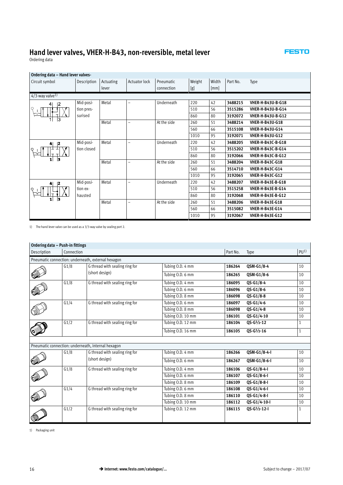#### **FESTO**

 $\mathcal{L}_{\mathcal{A}}$ 

Ordering data

### **Ordering data – Hand lever valves-**

| Circuit symbol                 | Description | Actuating | Actuator lock            | Pneumatic   | Weight | Width | Part No. | Type                     |  |  |  |  |
|--------------------------------|-------------|-----------|--------------------------|-------------|--------|-------|----------|--------------------------|--|--|--|--|
|                                |             | lever     |                          | connection  | [g]    | [mm]  |          |                          |  |  |  |  |
| $4/3$ -way valve <sup>1)</sup> |             |           |                          |             |        |       |          |                          |  |  |  |  |
| 2<br>41                        | Mid-posi-   | Metal     | $\overline{\phantom{0}}$ | Underneath  | 220    | 42    | 3488215  | <b>VHER-H-B43U-B-G18</b> |  |  |  |  |
|                                | tion pres-  |           |                          |             | 510    | 56    | 3515286  | <b>VHER-H-B43U-B-G14</b> |  |  |  |  |
| 13                             | surised     |           |                          |             | 860    | 80    | 3192072  | <b>VHER-H-B43U-B-G12</b> |  |  |  |  |
|                                |             | Metal     | -                        | At the side | 260    | 51    | 3488214  | <b>VHER-H-B43U-G18</b>   |  |  |  |  |
|                                |             |           |                          |             | 560    | 66    | 3515108  | <b>VHER-H-B43U-G14</b>   |  |  |  |  |
|                                |             |           |                          |             | 1010   | 95    | 3192071  | <b>VHER-H-B43U-G12</b>   |  |  |  |  |
| 12                             | Mid-posi-   | Metal     | $\overline{\phantom{0}}$ | Underneath  | 220    | 42    | 3488205  | <b>VHER-H-B43C-B-G18</b> |  |  |  |  |
|                                | tion closed |           |                          |             | 510    | 56    | 3515202  | VHER-H-B43C-B-G14        |  |  |  |  |
| lз                             |             | Metal     |                          |             | 860    | 80    | 3192066  | <b>VHER-H-B43C-B-G12</b> |  |  |  |  |
|                                |             |           | $\overline{\phantom{0}}$ | At the side | 260    | 51    | 3488204  | <b>VHER-H-B43C-G18</b>   |  |  |  |  |
|                                |             |           |                          |             | 560    | 66    | 3514710  | <b>VHER-H-B43C-G14</b>   |  |  |  |  |
|                                |             |           |                          |             | 1010   | 95    | 3192065  | <b>VHER-H-B43C-G12</b>   |  |  |  |  |
| 12                             | Mid-posi-   | Metal     | $\overline{a}$           | Underneath  | 220    | 42    | 3488207  | <b>VHER-H-B43E-B-G18</b> |  |  |  |  |
|                                | tion ex-    |           |                          |             | 510    | 56    | 3515258  | VHER-H-B43E-B-G14        |  |  |  |  |
|                                | hausted     |           |                          |             | 860    | 80    | 3192068  | <b>VHER-H-B43E-B-G12</b> |  |  |  |  |
|                                |             | Metal     | $\overline{\phantom{0}}$ | At the side | 260    | 51    | 3488206  | <b>VHER-H-B43E-G18</b>   |  |  |  |  |
|                                |             |           |                          |             | 560    | 66    | 3515082  | <b>VHER-H-B43E-G14</b>   |  |  |  |  |
|                                |             |           |                          |             | 1010   | 95    | 3192067  | <b>VHER-H-B43E-G12</b>   |  |  |  |  |

1) The hand lever valve can be used as a 3/3-way valve by sealing port 2.

#### **Ordering data – Push-in fittings**

| Description | Connection |                                                    |                                       | Part No. | Type                 | PU <sup>1</sup> |
|-------------|------------|----------------------------------------------------|---------------------------------------|----------|----------------------|-----------------|
|             |            | Pneumatic connection: underneath, external hexagon |                                       |          |                      |                 |
|             | G1/8       | G thread with sealing ring for                     | Tubing O.D. 4 mm                      | 186264   | QSM-G1/8-4           | 10              |
|             |            | (short design)                                     | Tubing O.D. 6 mm                      | 186265   | QSM-G1/8-6           | 10              |
|             | G1/8       | G thread with sealing ring for                     | Tubing O.D. 4 mm                      | 186095   | $QS - G1/8 - 4$      | 10              |
|             |            |                                                    | Tubing O.D. 6 mm                      | 186096   | $QS - G1/8 - 6$      | 10              |
|             |            |                                                    | Tubing O.D. 8 mm                      | 186098   | $QS - G1/8 - 8$      | 10              |
|             | G1/4       | G thread with sealing ring for                     | Tubing O.D. 6 mm                      | 186097   | QS-G1/4-6            | 10              |
|             |            |                                                    | Tubing O.D. 8 mm                      | 186098   | $QS - G1/4 - 8$      | 10              |
|             |            |                                                    | Tubing O.D. 10 mm                     | 186101   | QS-G1/4-10           | 10              |
|             | G1/2       | G thread with sealing ring for                     | Tubing O.D. 12 mm                     | 186104   | $QS - G^{1/2} - 12$  | 1               |
|             |            |                                                    | Tubing O.D. 16 mm                     | 186105   | $QS - G^{1/2} - 16$  | $\mathbf{1}$    |
|             |            |                                                    |                                       |          |                      |                 |
|             |            | Pneumatic connection: underneath, internal hexagon |                                       |          |                      |                 |
|             | G1/8       | G thread with sealing ring for                     | Tubing O.D. 4 mm                      | 186266   | QSM-G1/8-4-I         | 10              |
|             |            | (short design)                                     | Tubing O.D. 6 mm                      | 186267   | QSM-G1/8-6-I         | 10              |
|             | G1/8       | G thread with sealing ring for                     | Tubing O.D. 4 mm                      | 186106   | QS-G1/8-4-I          | 10              |
|             |            |                                                    | Tubing O.D. 6 mm                      | 186107   | $QS-G1/8-6-I$        | 10              |
|             |            |                                                    | $\overline{\text{Tubing 0}}$ .D. 8 mm | 186109   | $QS-G1/8-S-I$        | 10              |
|             | G1/4       | G thread with sealing ring for                     | Tubing O.D. 6 mm                      | 186108   | QS-G1/4-6-I          | 10              |
|             |            |                                                    | Tubing O.D. 8 mm                      | 186110   | QS-G1/4-8-I          | 10              |
|             |            |                                                    | Tubing O.D. 10 mm                     | 186112   | QS-G1/4-10-I         | 10              |
|             | G1/2       | G thread with sealing ring for                     | Tubing O.D. 12 mm                     | 186115   | $QS - G'/2 - 12 - I$ | 1               |
|             |            |                                                    |                                       |          |                      |                 |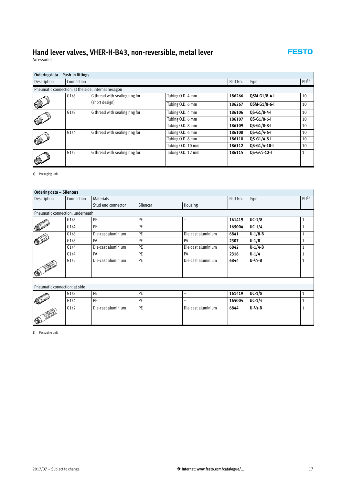Accessories

| Ordering data - Push-in fittings |            |                                                     |                   |               |                 |    |
|----------------------------------|------------|-----------------------------------------------------|-------------------|---------------|-----------------|----|
| Description                      | Connection |                                                     | Part No.          | Type          | PU <sup>1</sup> |    |
|                                  |            | Pneumatic connection: at the side, internal hexagon |                   |               |                 |    |
|                                  | G1/8       | G thread with sealing ring for                      | Tubing O.D. 4 mm  | 186266        | OSM-G1/8-4-I    | 10 |
|                                  |            | (short design)                                      | Tubing O.D. 6 mm  | 186267        | QSM-G1/8-6-I    | 10 |
|                                  | G1/8       | G thread with sealing ring for                      | Tubing O.D. 4 mm  | 186106        | 0S-G1/8-4-I     | 10 |
|                                  |            | Tubing O.D. 6 mm                                    | 186107            | $QS-G1/8-6-I$ | 10              |    |
|                                  |            |                                                     | Tubing O.D. 8 mm  | 186109        | $QS-G1/8-S-I$   | 10 |
|                                  | G1/4       | G thread with sealing ring for                      | Tubing O.D. 6 mm  | 186108        | $QS-G1/4-G-I$   | 10 |
|                                  |            |                                                     | Tubing O.D. 8 mm  | 186110        | $QS-G1/4-S-I$   | 10 |
|                                  |            |                                                     | Tubing O.D. 10 mm | 186112        | 0S-G1/4-10-I    | 10 |
|                                  | G1/2       | G thread with sealing ring for                      | Tubing O.D. 12 mm | 186115        | $OS-G1/2-12-I$  | 1  |

1) Packaging unit

| Ordering data - Silencers     |                                  |                    |          |                          |          |                       |                 |
|-------------------------------|----------------------------------|--------------------|----------|--------------------------|----------|-----------------------|-----------------|
| Description                   | Connection                       | <b>Materials</b>   |          |                          | Part No. | Type                  | PU <sup>1</sup> |
|                               |                                  | Stud end connector | Silencer | Housing                  |          |                       |                 |
|                               | Pneumatic connection: underneath |                    |          |                          |          |                       |                 |
|                               | G1/8                             | PE                 | PE       | $\overline{\phantom{m}}$ | 161419   | $UC-1/8$              | 1               |
|                               | G1/4                             | PE                 | PE       | -                        | 165004   | $UC-1/4$              | $\mathbf{1}$    |
|                               | G1/8                             | Die-cast aluminium | PE       | Die-cast aluminium       | 6841     | $U-1/8-B$             | $\mathbf{1}$    |
|                               | G1/8                             | PA                 | PE       | PA                       | 2307     | $U-1/8$               | $\mathbf{1}$    |
|                               | G1/4                             | Die-cast aluminium | PE       | Die-cast aluminium       | 6842     | $U-1/4-B$             | $\mathbf{1}$    |
|                               | G1/4                             | PA                 | PE       | PA                       | 2316     | $U - 1/4$             | 1               |
|                               | G1/2                             | Die-cast aluminium | PE       | Die-cast aluminium       | 6844     | $U - \frac{1}{2} - B$ | $\mathbf{1}$    |
| Pneumatic connection: at side |                                  |                    |          |                          |          |                       |                 |
|                               | G1/8                             | PE                 | PE       | $\qquad \qquad -$        | 161419   | $UC-1/8$              | 1               |
|                               | G1/4                             | PE                 | PE       | ۰                        | 165004   | $UC-1/4$              | 1               |
|                               | G1/2                             | Die-cast aluminium | PE       | Die-cast aluminium       | 6844     | $U - \frac{1}{2} - B$ | $\mathbf{1}$    |

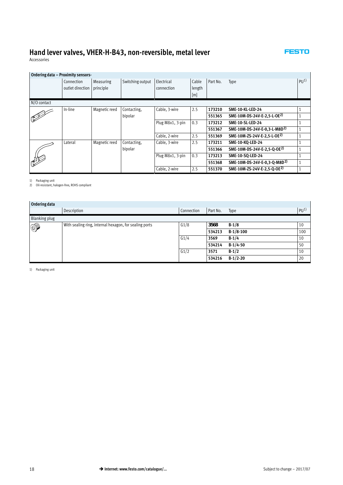#### **FESTO**

<span id="page-17-0"></span>Accessories

| Ordering data - Proximity sensors- |                  |               |                  |                  |        |          |                                          |          |
|------------------------------------|------------------|---------------|------------------|------------------|--------|----------|------------------------------------------|----------|
|                                    | Connection       | Measuring     | Switching output |                  | Cable  | Part No. | Type                                     | $P[1^1]$ |
|                                    | outlet direction | principle     |                  | connection       | length |          |                                          |          |
|                                    |                  |               |                  |                  | [m]    |          |                                          |          |
| N/O contact                        |                  |               |                  |                  |        |          |                                          |          |
|                                    | In-line          | Magnetic reed | Contacting.      | Cable, 3-wire    | 2.5    | 173210   | <b>SME-10-KL-LED-24</b>                  |          |
|                                    |                  |               | bipolar          |                  |        | 551365   | SME-10M-DS-24V-E-2,5-L-OE <sup>2)</sup>  |          |
|                                    |                  |               |                  | Plug M8x1, 3-pin | 0.3    | 173212   | <b>SME-10-SL-LED-24</b>                  |          |
|                                    |                  |               |                  |                  |        | 551367   | SME-10M-DS-24V-E-0.3-L-M8D <sup>2)</sup> |          |
|                                    |                  |               |                  | Cable, 2-wire    | 2.5    | 551369   | SME-10M-ZS-24V-E-2.5-L-OE2)              |          |
|                                    | Lateral          | Magnetic reed | Contacting.      | Cable, 3-wire    | 2.5    | 173211   | <b>SME-10-KQ-LED-24</b>                  |          |
|                                    |                  |               | bipolar          |                  |        | 551366   | SME-10M-DS-24V-E-2,5-Q-OE <sup>2)</sup>  |          |
|                                    |                  |               |                  | Plug M8x1, 3-pin | 0.3    | 173213   | SME-10-SQ-LED-24                         |          |
|                                    |                  |               |                  |                  |        | 551368   | SME-10M-DS-24V-E-0,3-Q-M8D <sup>2)</sup> |          |
|                                    |                  |               |                  | Cable, 2-wire    | 2.5    | 551370   | SME-10M-ZS-24V-E-2.5-O-OE2)              |          |

1) Packaging unit 2) Oil-resistant, halogen-free, ROHS compliant

| Ordering data |                                                        |            |          |             |                 |
|---------------|--------------------------------------------------------|------------|----------|-------------|-----------------|
|               | Description                                            | Connection | Part No. | Type        | PU <sup>1</sup> |
| Blanking plug |                                                        |            |          |             |                 |
| 0P            | With sealing ring, internal hexagon, for sealing ports | G1/8       | 3568     | $B-1/8$     | 10              |
|               |                                                        |            | 534213   | $B-1/8-100$ | 100             |
|               |                                                        | G1/4       | 3569     | $B-1/4$     | 10              |
|               |                                                        |            | 534214   | $B-1/4-50$  | 50              |
|               |                                                        | G1/2       | 3571     | $B-1/2$     | 10              |
|               |                                                        |            | 534216   | $B-1/2-20$  | 20              |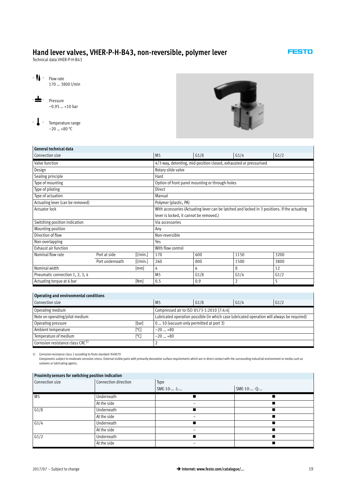<span id="page-18-0"></span>Technical data VHER-P-H-B43

170 … 3800 l/min

–0.95 … +10 bar

-  $\bigcup$  - Flow rate

-L- Pressure



# **General technical data**

- **L** - Temperature range  $-20$  ... +80 °C

| Connection size                  |                 |          | M <sub>5</sub>                          | G1/8                                                              | G1/4                                                                                         | G1/2 |  |  |  |
|----------------------------------|-----------------|----------|-----------------------------------------|-------------------------------------------------------------------|----------------------------------------------------------------------------------------------|------|--|--|--|
| Valve function                   |                 |          |                                         | 4/3-way, detenting, mid-position closed, exhausted or pressurised |                                                                                              |      |  |  |  |
| Design                           |                 |          | Rotary slide valve                      |                                                                   |                                                                                              |      |  |  |  |
| Sealing principle                |                 |          | Hard                                    |                                                                   |                                                                                              |      |  |  |  |
| Type of mounting                 |                 |          |                                         | Option of front panel mounting or through-holes                   |                                                                                              |      |  |  |  |
| Type of piloting                 |                 |          | <b>Direct</b>                           |                                                                   |                                                                                              |      |  |  |  |
| Type of actuation                |                 |          | Manual                                  |                                                                   |                                                                                              |      |  |  |  |
| Actuating lever (can be removed) |                 |          | Polymer (plastic, PA)                   |                                                                   |                                                                                              |      |  |  |  |
| <b>Actuator lock</b>             |                 |          |                                         |                                                                   | With accessories (Actuating lever can be latched and locked in 3 positions. If the actuating |      |  |  |  |
|                                  |                 |          | lever is locked, it cannot be removed.) |                                                                   |                                                                                              |      |  |  |  |
| Switching position indication    |                 |          | Via accessories                         |                                                                   |                                                                                              |      |  |  |  |
| Mounting position                |                 |          | Any                                     |                                                                   |                                                                                              |      |  |  |  |
| Direction of flow                |                 |          | Non-reversible                          |                                                                   |                                                                                              |      |  |  |  |
| Non-overlapping                  |                 |          | Yes                                     |                                                                   |                                                                                              |      |  |  |  |
| Exhaust air function             |                 |          | With flow control                       |                                                                   |                                                                                              |      |  |  |  |
| Nominal flow rate                | Port at side    | [1/min.] | 170                                     | 600                                                               | 1150                                                                                         | 3200 |  |  |  |
|                                  | Port underneath | [1/min.] | 260                                     | 800                                                               | 1500                                                                                         | 3800 |  |  |  |
| Nominal width                    |                 | [mm]     | 4                                       | 6                                                                 | 8                                                                                            | 12   |  |  |  |
| Pneumatic connection 1, 2, 3, 4  |                 |          | M <sub>5</sub>                          | G1/8                                                              | G1/4                                                                                         | G1/2 |  |  |  |
| Actuating torque at 6 bar        |                 | [Nm]     | 0.5                                     | 0.9                                                               | 2                                                                                            | 5    |  |  |  |

#### **Operating and environmental conditions**

| Connection size                              | M <sub>5</sub>                          | G1/8                                                                                       | G1/4 | G1/2 |  |  |  |  |
|----------------------------------------------|-----------------------------------------|--------------------------------------------------------------------------------------------|------|------|--|--|--|--|
| Operating medium                             |                                         | Compressed air to ISO 8573-1:2010 [7:4:4]                                                  |      |      |  |  |  |  |
| Note on operating/pilot medium               |                                         | Lubricated operation possible (in which case lubricated operation will always be required) |      |      |  |  |  |  |
| [bar]<br>Operating pressure                  | 0  10 (vacuum only permitted at port 3) |                                                                                            |      |      |  |  |  |  |
| [°C]<br>Ambient temperature                  | $-20$ +80                               |                                                                                            |      |      |  |  |  |  |
| Temperature of medium<br>[°C]                | $-20$ +80                               |                                                                                            |      |      |  |  |  |  |
| Corrosion resistance class CRC <sup>1)</sup> |                                         |                                                                                            |      |      |  |  |  |  |

1) Corrosion resistance class 2 according to Festo standard 940070

Components subject to moderate corrosion stress. External visible parts with primarily decorative surface requirements which are in direct contact with the surrounding industrial environment or media such as coolants or lubricating agents.

# **Proximity sensors for switching position indication**

| Connection size | Connection direction | Type        |             |  |  |  |  |  |  |
|-----------------|----------------------|-------------|-------------|--|--|--|--|--|--|
|                 |                      | SME-10- -L- | SME-10- -Q- |  |  |  |  |  |  |
| M <sub>5</sub>  | Underneath           |             |             |  |  |  |  |  |  |
|                 | At the side          |             |             |  |  |  |  |  |  |
| $\sqrt{G_1/8}$  | Underneath           |             |             |  |  |  |  |  |  |
|                 | At the side          |             |             |  |  |  |  |  |  |
| G1/4            | Underneath           |             |             |  |  |  |  |  |  |
|                 | At the side          |             |             |  |  |  |  |  |  |
| G1/2            | Underneath           |             |             |  |  |  |  |  |  |
|                 | At the side          |             |             |  |  |  |  |  |  |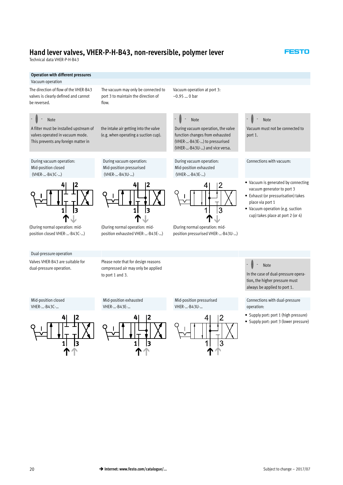Technical data VHER-P-H-B43

### **Operation with different pressures**

#### Vacuum operation

The direction of flow of the VHER-B43 valves is clearly defined and cannot be reversed.

#### Note

A filter must be installed upstream of valves operated in vacuum mode. This prevents any foreign matter in

During vacuum operation: Mid-position closed (VHER-…-B43C-…)

the intake air getting into the valve (e.g. when operating a suction cup).

During vacuum operation: Mid-position pressurised (VHER-…-B43U-…)

The vacuum may only be connected to port 3 to maintain the direction of

flow.

Vacuum operation at port 3: –0.95 … 0 bar

# Note

During vacuum operation, the valve function changes from exhausted (VHER-…-B43E-…) to pressurised (VHER-…-B43U-…) and vice versa.

During vacuum operation: Mid-position exhausted (VHER-…-B43E-…)



(During normal operation: midposition pressurised VHER-…-B43U-…)



Vacuum must not be connected to port 1.

**ESTO** 

#### Connections with vacuum:

- Vacuum is generated by connecting vacuum generator to port 3
- Exhaust (or pressurisation) takes place via port 1
- Vacuum operation (e.g. suction cup) takes place at port 2 (or 4)

(During normal operation: midposition closed VHER-…-B43C-…)

 $\mathbf{1}$ 

3

#### Dual-pressure operation

Valves VHER-B43 are suitable for dual-pressure operation.

Please note that for design reasons compressed air may only be applied to port 1 and 3.

Mid-position exhausted

(During normal operation: midposition exhausted VHER-…-B43E-…)

1 1 |3





#### Note

In the case of dual-pressure operation, the higher pressure must always be applied to port 1.

Connections with dual-pressure operation:

- Supply port: port 1 (high pressure)
- Supply port: port 3 (lower pressure)

#### Mid-position closed VHER-…-B43C-…



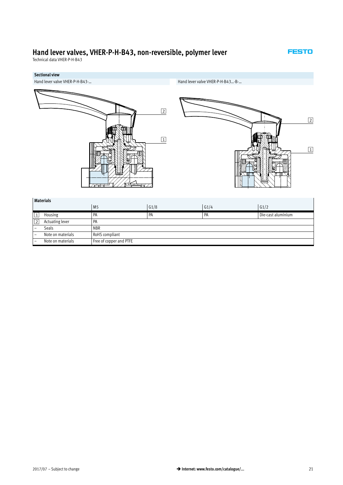Technical data VHER-P-H-B43



# **Sectional view**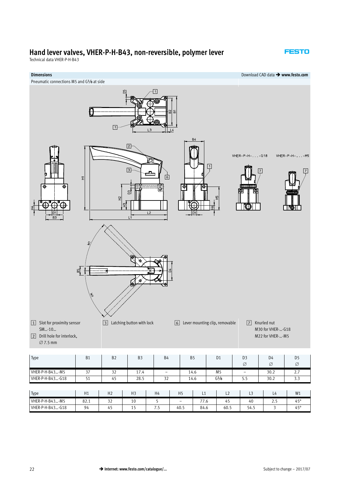Technical data VHER-P-H-B43



| $\sim$<br>Type   | H1   | H٦<br>11Z    | புற | H4  | H <sub>5</sub>           | ᄂᆠ                  | 느스   |                  | L4              | W1           |
|------------------|------|--------------|-----|-----|--------------------------|---------------------|------|------------------|-----------------|--------------|
| VHER-P-H-B43-M5  | 82.1 | $\sim$<br>ےر | ΠU  |     | $\overline{\phantom{a}}$ | $- -$<br>$\sqrt{0}$ | 4    | 40               | $\sim$<br>ر . _ | $45^{\circ}$ |
| VHER-P-H-B43-G18 | 94   | 45           | . . | ر ، | 40.5                     | 84.6                | 60.5 | $ \cdot$<br>54.5 |                 | $45^\circ$   |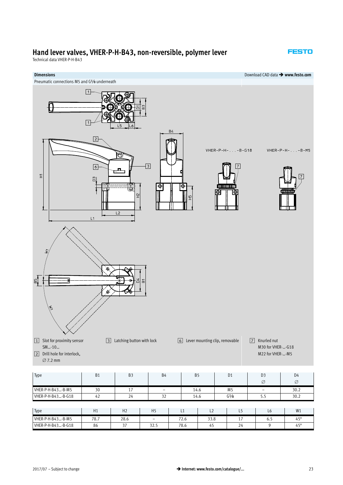Technical data VHER-P-H-B43



| VHER-P-H-B43-B-G18 | 42   | 24             | າາ<br>৴৴          |      | 14.6        | G <sup>1</sup> /8     | ر در | 30.2         |
|--------------------|------|----------------|-------------------|------|-------------|-----------------------|------|--------------|
|                    |      |                |                   |      |             |                       |      |              |
| Type               | H1   | H <sub>2</sub> | H <sub>5</sub>    | ᄔ    | $\sim$<br>ᄕ | - -                   | Lb   | W1           |
| VHER-P-H-B43-B-M5  | 78.7 | 28.6           | $\qquad \qquad -$ | 72.6 | 33.8        | $\overline{ }$<br>. . | כ.ס  | $45^{\circ}$ |
| VHER-P-H-B43-B-G18 | 86   | $\sim$         | 32.5              | 78.6 | 45          | 24                    |      | $45^\circ$   |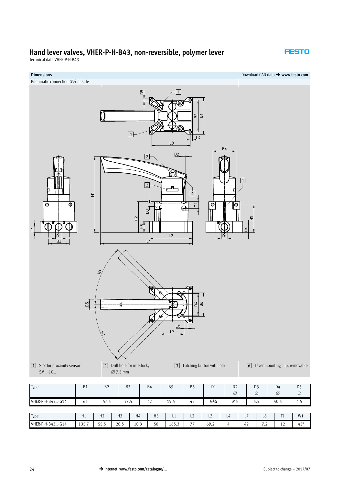Technical data VHER-P-H-B43

#### **FESTO**

**Dimensions** Download CAD data - **www.festo.com**

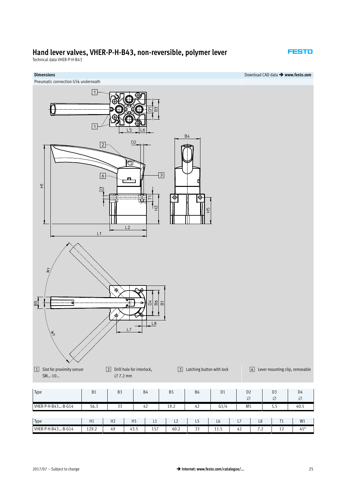Technical data VHER-P-H-B43

# **Dimensions** Download CAD data - **www.festo.com** Pneumatic connection G¼ underneath  $\boxed{1}$  $\boxed{1}$  $B<sub>4</sub>$ D<sub>2</sub>  $\boxed{2}$ Ò  $\overline{\Xi}$  $\boxed{6}$ Ħ  $\overleftarrow{\pm}$ ግ  $\overline{\Phi}$ Θ  $\overline{H}$ டி  $\overline{L2}$  $L1$  $-55$  $\delta$  $\overline{B}$  $L8$ [3] Latching button with lock <br>
6 Lever mounting clip, removable  $\boxed{1}$  Slot for proximity sensor 2 Drill hole for interlock,  $\varnothing$  7.2 mm SM…-10… D3 D4 Type B1 B3 B4 B5 B6 D1 D2  $\varnothing$  $\varnothing$  $\varnothing$ VHER-P-H-B43...-B-G14 | 56.3 | 33 | 42 | 19.2 | 42 | G1/4 | M5 | 5.5 | 40.5 Type H1 H2 H5 L1 L2 L5 L6 L7 L8 T1 W1

VHER-P-H-B43…-B-G14 | 129.2 | 49 | 43.5 | 157 | 60.2 | 33 | 11.5 | 42 | 7.2 | 12 | 45°

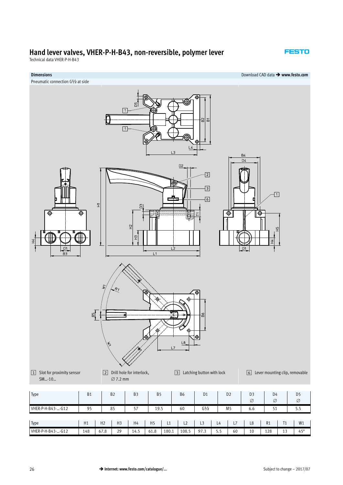Technical data VHER-P-H-B43

#### **FESTO**

#### **Dimensions** Download CAD data - **www.festo.com**

Pneumatic connection G½ at side



| Type              | H1  | H <sub>2</sub> | H <sub>3</sub> | H4   | H <sub>5</sub> |       | $\sim$<br>ᄂᄼ | $\sim$<br>ᇅ | L <sup>4</sup> | $\rightarrow$<br>. . | L8 | R1  | $T_{A}$<br>. . | W1           |
|-------------------|-----|----------------|----------------|------|----------------|-------|--------------|-------------|----------------|----------------------|----|-----|----------------|--------------|
|                   |     |                |                |      |                |       |              |             |                |                      |    |     |                |              |
| VHER-P-H-B43--G12 | 148 | 67.8           | 29             | 14.5 | 10<br>61.8     | 180.1 | 108.5        | 07          |                | 60                   | 10 | 128 | $\sim$         | $45^{\circ}$ |
|                   |     |                |                |      |                |       |              | ,,,         | ر . ر          |                      |    |     | .,             |              |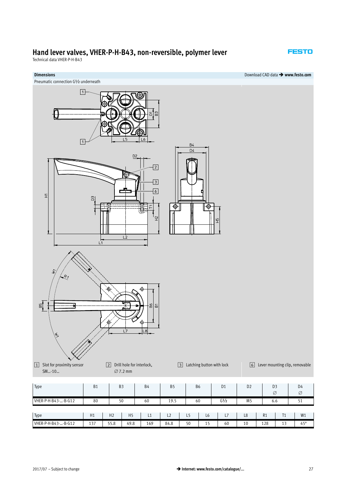Technical data VHER-P-H-B43

### **FESTO**



Pneumatic connection G½ underneath



VHER-P-H-B43-...-B-G12 | 137 | 55.8 | 49.8 | 169 | 84.8 | 50 | 15 | 60 | 10 | 128 | 13 | 45°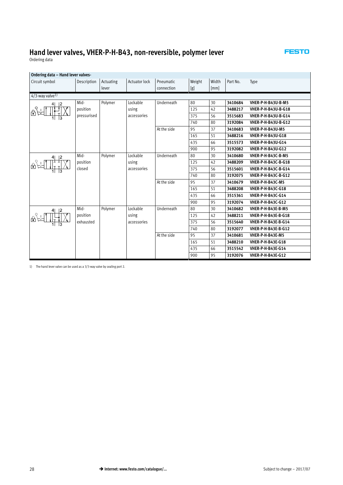Ordering data

### **Ordering data – Hand lever valves-**

| Circuit symbol                                   | Description | Actuating | <b>Actuator lock</b> | Pneumatic   | Weight | Width | Part No. | Type                       |  |  |  |
|--------------------------------------------------|-------------|-----------|----------------------|-------------|--------|-------|----------|----------------------------|--|--|--|
|                                                  |             | lever     |                      | connection  |        | [mm]  |          |                            |  |  |  |
|                                                  |             |           |                      |             | [g]    |       |          |                            |  |  |  |
| $4/3$ -way valve <sup>1)</sup>                   |             |           |                      |             |        |       |          |                            |  |  |  |
| 4   12                                           | Mid-        | Polymer   | Lockable             | Underneath  | 80     | 30    | 3410684  | VHER-P-H-B43U-B-M5         |  |  |  |
| $\frac{1}{2} \int_{0}^{2} \frac{dx}{1 + x^2} dx$ | position    |           | using                |             | 125    | 42    | 3488217  | <b>VHER-P-H-B43U-B-G18</b> |  |  |  |
|                                                  | pressurised |           | accessories          |             | 375    | 56    | 3515683  | <b>VHER-P-H-B43U-B-G14</b> |  |  |  |
|                                                  |             |           |                      |             | 740    | 80    | 3192084  | <b>VHER-P-H-B43U-B-G12</b> |  |  |  |
|                                                  |             |           |                      | At the side | 95     | 37    | 3410683  | VHER-P-H-B43U-M5           |  |  |  |
|                                                  |             |           |                      |             | 165    | 51    | 3488216  | <b>VHER-P-H-B43U-G18</b>   |  |  |  |
|                                                  |             |           |                      |             | 435    | 66    | 3515573  | <b>VHER-P-H-B43U-G14</b>   |  |  |  |
|                                                  |             |           |                      |             | 900    | 95    | 3192082  | <b>VHER-P-H-B43U-G12</b>   |  |  |  |
| 4 12                                             | Mid-        | Polymer   | Lockable             | Underneath  | 80     | 30    | 3410680  | VHER-P-H-B43C-B-M5         |  |  |  |
| ⊕ਪਿ                                              | position    |           | using                |             | 125    | 42    | 3488209  | <b>VHER-P-H-B43C-B-G18</b> |  |  |  |
|                                                  | closed      |           | accessories          |             | 375    | 56    | 3515601  | <b>VHER-P-H-B43C-B-G14</b> |  |  |  |
|                                                  |             |           |                      |             | 740    | 80    | 3192075  | <b>VHER-P-H-B43C-B-G12</b> |  |  |  |
|                                                  |             |           |                      | At the side | 95     | 37    | 3410679  | VHER-P-H-B43C-M5           |  |  |  |
|                                                  |             |           |                      |             | 165    | 51    | 3488208  | <b>VHER-P-H-B43C-G18</b>   |  |  |  |
|                                                  |             |           |                      |             | 435    | 66    | 3515361  | <b>VHER-P-H-B43C-G14</b>   |  |  |  |
|                                                  |             |           |                      |             | 900    | 95    | 3192074  | <b>VHER-P-H-B43C-G12</b>   |  |  |  |
| 2                                                | Mid-        | Polymer   | Lockable             | Underneath  | 80     | 30    | 3410682  | VHER-P-H-B43E-B-M5         |  |  |  |
| $\frac{1}{\sqrt{2}}\int_{-\frac{1}{2}}^{\infty}$ | position    |           | using                |             | 125    | 42    | 3488211  | <b>VHER-P-H-B43E-B-G18</b> |  |  |  |
|                                                  | exhausted   |           | accessories          |             | 375    | 56    | 3515640  | <b>VHER-P-H-B43E-B-G14</b> |  |  |  |
|                                                  |             |           |                      |             | 740    | 80    | 3192077  | <b>VHER-P-H-B43E-B-G12</b> |  |  |  |
|                                                  |             |           |                      | At the side | 95     | 37    | 3410681  | VHER-P-H-B43E-M5           |  |  |  |
|                                                  |             |           |                      |             | 165    | 51    | 3488210  | <b>VHER-P-H-B43E-G18</b>   |  |  |  |
|                                                  |             |           |                      |             | 435    | 66    | 3515542  | VHER-P-H-B43E-G14          |  |  |  |
|                                                  |             |           |                      |             | 900    | 95    | 3192076  | <b>VHER-P-H-B43E-G12</b>   |  |  |  |

1) The hand lever valve can be used as a 3/3-way valve by sealing port 2.

 $\mathbb{R}^2$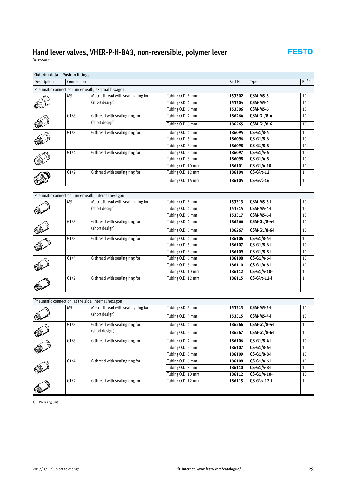| Ordering data - Push-in fittings- |                |                                                     |                   |          |                         |                 |
|-----------------------------------|----------------|-----------------------------------------------------|-------------------|----------|-------------------------|-----------------|
| Description                       | Connection     |                                                     |                   | Part No. | Type                    | PU <sup>1</sup> |
|                                   |                | Pneumatic connection: underneath, external hexagon  |                   |          |                         |                 |
|                                   | M <sub>5</sub> | Metric thread with sealing ring for                 | Tubing O.D. 3 mm  | 153302   | QSM-M5-3                | 10              |
|                                   |                | (short design)                                      | Tubing O.D. 4 mm  | 153304   | <b>QSM-M5-4</b>         | 10              |
|                                   |                |                                                     | Tubing O.D. 6 mm  | 153306   | QSM-M5-6                | 10              |
|                                   | G1/8           | G thread with sealing ring for                      | Tubing O.D. 4 mm  | 186264   | QSM-G1/8-4              | 10              |
|                                   |                | (short design)                                      | Tubing O.D. 6 mm  | 186265   | QSM-G1/8-6              | 10              |
|                                   | G1/8           | G thread with sealing ring for                      | Tubing O.D. 4 mm  | 186095   | QS-G1/8-4               | 10              |
|                                   |                |                                                     | Tubing O.D. 6 mm  | 186096   | QS-G1/8-6               | 10              |
|                                   |                |                                                     | Tubing O.D. 8 mm  | 186098   | QS-G1/8-8               | 10              |
|                                   | G1/4           | G thread with sealing ring for                      | Tubing O.D. 6 mm  | 186097   | QS-G1/4-6               | 10              |
|                                   |                |                                                     | Tubing O.D. 8 mm  | 186098   | $QS - G1/4 - 8$         | 10              |
|                                   |                |                                                     | Tubing O.D. 10 mm | 186101   | QS-G1/4-10              | 10              |
|                                   | G1/2           | G thread with sealing ring for                      | Tubing O.D. 12 mm | 186104   | QS-G1/2-12              | 1               |
|                                   |                |                                                     | Tubing O.D. 16 mm | 186105   | QS-G1/2-16              | $\mathbf{1}$    |
|                                   |                |                                                     |                   |          |                         |                 |
|                                   |                | Pneumatic connection: underneath, internal hexagon  |                   |          |                         |                 |
|                                   | M5             | Metric thread with sealing ring for                 | Tubing O.D. 3 mm  | 153313   | QSM-M5-3-I              | 10              |
|                                   |                | (short design)                                      | Tubing O.D. 4 mm  | 153315   | <b>QSM-M5-4-I</b>       | 10              |
|                                   |                |                                                     | Tubing O.D. 6 mm  | 153317   | QSM-M5-6-I              | 10              |
|                                   | G1/8           | G thread with sealing ring for                      | Tubing O.D. 4 mm  | 186266   | QSM-G1/8-4-I            | 10              |
|                                   |                | (short design)                                      | Tubing O.D. 6 mm  | 186267   | QSM-G1/8-6-I            | 10              |
|                                   | G1/8           | G thread with sealing ring for                      | Tubing O.D. 4 mm  | 186106   | QS-G1/8-4-I             | 10              |
|                                   |                |                                                     | Tubing O.D. 6 mm  | 186107   | QS-G1/8-6-I             | 10              |
|                                   |                |                                                     | Tubing O.D. 8 mm  | 186109   | QS-G1/8-8-I             | 10              |
|                                   | G1/4           | G thread with sealing ring for                      | Tubing O.D. 6 mm  | 186108   | QS-G1/4-6-I             | 10              |
|                                   |                |                                                     | Tubing O.D. 8 mm  | 186110   | QS-G1/4-8-I             | 10              |
|                                   |                |                                                     | Tubing O.D. 10 mm | 186112   | QS-G1/4-10-I            | 10              |
|                                   | G1/2           | G thread with sealing ring for                      | Tubing O.D. 12 mm | 186115   | QS-G1/2-12-I            | $\mathbf{1}$    |
|                                   |                |                                                     |                   |          |                         |                 |
|                                   |                |                                                     |                   |          |                         |                 |
|                                   |                | Pneumatic connection: at the side, internal hexagon |                   |          |                         |                 |
|                                   | M <sub>5</sub> | Metric thread with sealing ring for                 | Tubing O.D. 3 mm  | 153313   | QSM-M5-3-I              | 10              |
|                                   |                | (short design)                                      | Tubing O.D. 4 mm  | 153315   | QSM-M5-4-I              | 10              |
|                                   | G1/8           | G thread with sealing ring for                      | Tubing O.D. 4 mm  | 186266   | QSM-G1/8-4-I            | 10              |
| <u>ou</u>                         |                | (short design)                                      | Tubing O.D. 6 mm  | 186267   | QSM-G1/8-6-I            | 10              |
|                                   | G1/8           | G thread with sealing ring for                      | Tubing O.D. 4 mm  | 186106   | QS-G1/8-4-I             | 10              |
|                                   |                |                                                     | Tubing O.D. 6 mm  | 186107   | $QS-G1/8-G-I$           | 10              |
|                                   |                |                                                     | Tubing O.D. 8 mm  | 186109   | QS-G1/8-8-I             | 10              |
|                                   | G1/4           | G thread with sealing ring for                      | Tubing O.D. 6 mm  | 186108   | QS-G1/4-6-I             | 10              |
|                                   |                |                                                     | Tubing O.D. 8 mm  | 186110   | QS-G1/4-8-I             | 10              |
|                                   |                |                                                     | Tubing O.D. 10 mm | 186112   | QS-G1/4-10-I            | 10              |
|                                   | G1/2           | G thread with sealing ring for                      | Tubing O.D. 12 mm | 186115   | $QS - G^{1/2} - 12 - I$ | $\mathbf{1}$    |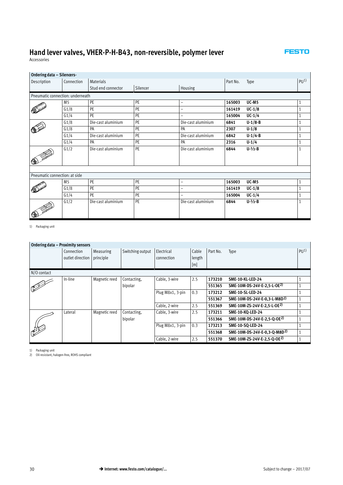<span id="page-29-0"></span>Accessories

 $\mathbf{r}$ 

| Ordering data - Silencers-       |                |                    |          |                    |          |                       |                 |
|----------------------------------|----------------|--------------------|----------|--------------------|----------|-----------------------|-----------------|
| Description                      | Connection     | <b>Materials</b>   |          |                    | Part No. | Type                  | PU <sup>1</sup> |
|                                  |                | Stud end connector | Silencer | Housing            |          |                       |                 |
| Pneumatic connection: underneath |                |                    |          |                    |          |                       |                 |
|                                  | M <sub>5</sub> | PE                 | PE       | $\qquad \qquad -$  | 165003   | UC-M5                 | 1               |
|                                  | G1/8           | PE                 | PE       | $\qquad \qquad -$  | 161419   | $UC-1/8$              |                 |
|                                  | G1/4           | PE                 | PE       | -                  | 165004   | $UC-1/4$              | 1               |
|                                  | G1/8           | Die-cast aluminium | PE       | Die-cast aluminium | 6841     | $U-1/8-B$             |                 |
|                                  | G1/8           | PA                 | PE       | PA                 | 2307     | $U-1/8$               | 1               |
|                                  | G1/4           | Die-cast aluminium | PE       | Die-cast aluminium | 6842     | $U-1/4-B$             | $\mathbf{1}$    |
|                                  | G1/4           | PA                 | PE       | PA                 | 2316     | $U - 1/4$             |                 |
|                                  | G1/2           | Die-cast aluminium | PE       | Die-cast aluminium | 6844     | $U - \frac{1}{2} - B$ | 1               |
| Pneumatic connection: at side    |                |                    |          |                    |          |                       |                 |
|                                  | M5             | PE                 | PE       | -                  | 165003   | UC-M5                 | 1               |
|                                  | G1/8           | PE                 | PE       | -                  | 161419   | $UC-1/8$              |                 |
|                                  | G1/4           | PE                 | PE       | -                  | 165004   | $UC-1/4$              | $\mathbf{1}$    |
| 1                                | G1/2           | Die-cast aluminium | PE       | Die-cast aluminium | 6844     | $U - \frac{1}{2} - B$ | 1               |

1) Packaging unit

| Ordering data - Proximity sensors |                                |                        |                  |                          |                        |          |                                          |                    |
|-----------------------------------|--------------------------------|------------------------|------------------|--------------------------|------------------------|----------|------------------------------------------|--------------------|
|                                   | Connection<br>outlet direction | Measuring<br>principle | Switching output | Electrical<br>connection | Cable<br>length<br>[m] | Part No. | Type                                     | P(J <sup>1</sup> ) |
| N/O contact                       |                                |                        |                  |                          |                        |          |                                          |                    |
|                                   | In-line                        | Magnetic reed          | Contacting.      | Cable, 3-wire            | 2.5                    | 173210   | <b>SME-10-KL-LED-24</b>                  |                    |
|                                   |                                |                        | bipolar          |                          |                        | 551365   | SME-10M-DS-24V-E-2,5-L-OE <sup>2)</sup>  |                    |
|                                   |                                |                        |                  | Plug M8x1, 3-pin         | 0.3                    | 173212   | <b>SME-10-SL-LED-24</b>                  |                    |
|                                   |                                |                        |                  |                          |                        | 551367   | SME-10M-DS-24V-E-0,3-L-M8D <sup>2)</sup> |                    |
|                                   |                                |                        |                  | Cable, 2-wire            | 2.5                    | 551369   | SME-10M-ZS-24V-E-2,5-L-OE2)              |                    |
|                                   | Lateral                        | Magnetic reed          | Contacting.      | Cable, 3-wire            | 2.5                    | 173211   | <b>SME-10-KO-LED-24</b>                  |                    |
|                                   |                                |                        | bipolar          |                          |                        | 551366   | SME-10M-DS-24V-E-2,5-Q-OE <sup>2)</sup>  |                    |
|                                   |                                |                        |                  | Plug M8x1, 3-pin         | 0.3                    | 173213   | <b>SME-10-SO-LED-24</b>                  |                    |
| RA                                |                                |                        |                  |                          |                        | 551368   | SME-10M-DS-24V-E-0,3-Q-M8D <sup>2)</sup> |                    |
|                                   |                                |                        |                  | Cable, 2-wire            | 2.5                    | 551370   | SME-10M-ZS-24V-E-2.5-O-OE2)              |                    |

1) Packaging unit 2) Oil-resistant, halogen-free, ROHS compliant